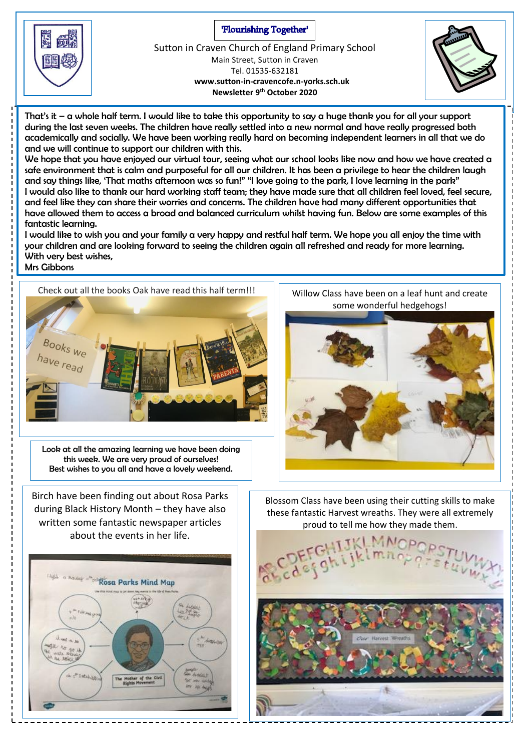'Flourishing Together'



Sutton in Craven Church of England Primary School Main Street, Sutton in Craven Tel. 01535-632181  **www.sutton-in-cravencofe.n-yorks.sch.uk Newsletter 9 th October 2020**



That's it – a whole half term. I would like to take this opportunity to say a huge thank you for all your support during the last seven weeks. The children have really settled into a new normal and have really progressed both academically and socially. We have been working really hard on becoming independent learners in all that we do and we will continue to support our children with this.

We hope that you have enjoyed our virtual tour, seeing what our school looks like now and how we have created a safe environment that is calm and purposeful for all our children. It has been a privilege to hear the children laugh and say things like, 'That maths afternoon was so fun!" "I love going to the park, I love learning in the park" I would also like to thank our hard working staff team; they have made sure that all children feel loved, feel secure, and feel like they can share their worries and concerns. The children have had many different opportunities that have allowed them to access a broad and balanced curriculum whilst having fun. Below are some examples of this fantastic learning.

I would like to wish you and your family a very happy and restful half term. We hope you all enjoy the time with your children and are looking forward to seeing the children again all refreshed and ready for more learning. With very best wishes, Mrs Gibbons



Look at all the amazing learning we have been doing this week. We are very proud of ourselves! Best wishes to you all and have a lovely weekend.

Birch have been finding out about Rosa Parks during Black History Month – they have also written some fantastic newspaper articles about the events in her life.



some wonderful hedgehogs!



Blossom Class have been using their cutting skills to make these fantastic Harvest wreaths. They were all extremely proud to tell me how they made them.

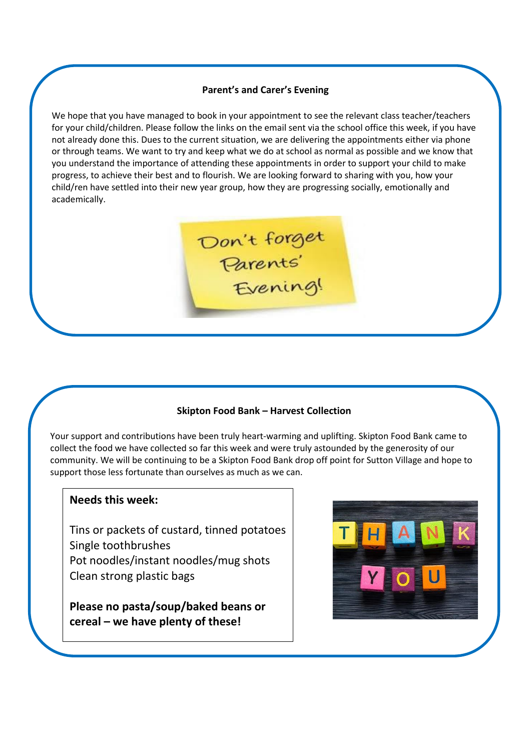## **Parent's and Carer's Evening**

We hope that you have managed to book in your appointment to see the relevant class teacher/teachers for your child/children. Please follow the links on the email sent via the school office this week, if you have not already done this. Dues to the current situation, we are delivering the appointments either via phone or through teams. We want to try and keep what we do at school as normal as possible and we know that you understand the importance of attending these appointments in order to support your child to make progress, to achieve their best and to flourish. We are looking forward to sharing with you, how your child/ren have settled into their new year group, how they are progressing socially, emotionally and academically.



## **Skipton Food Bank – Harvest Collection**

Your support and contributions have been truly heart-warming and uplifting. Skipton Food Bank came to collect the food we have collected so far this week and were truly astounded by the generosity of our community. We will be continuing to be a Skipton Food Bank drop off point for Sutton Village and hope to support those less fortunate than ourselves as much as we can.

## **Needs this week:**

Tins or packets of custard, tinned potatoes Single toothbrushes Pot noodles/instant noodles/mug shots Clean strong plastic bags

**Please no pasta/soup/baked beans or cereal – we have plenty of these!**